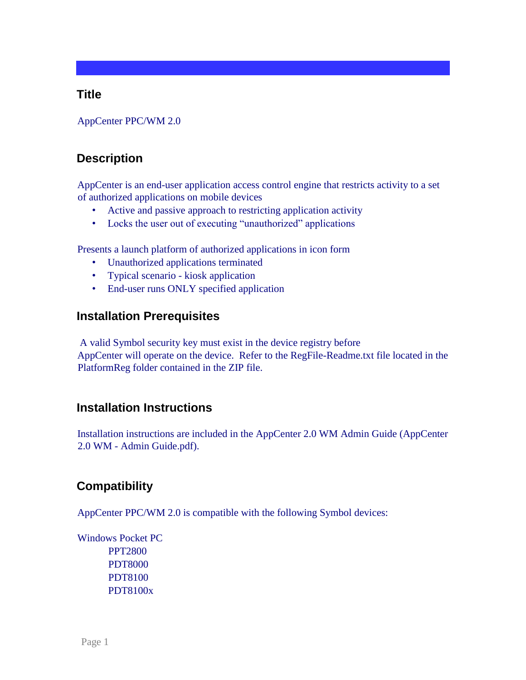## **Title**

AppCenter PPC/WM 2.0

## **Description**

AppCenter is an end-user application access control engine that restricts activity to a set of authorized applications on mobile devices

- Active and passive approach to restricting application activity
- Locks the user out of executing "unauthorized" applications

Presents a launch platform of authorized applications in icon form

- Unauthorized applications terminated
- Typical scenario kiosk application
- End-user runs ONLY specified application

## **Installation Prerequisites**

A valid Symbol security key must exist in the device registry before AppCenter will operate on the device. Refer to the RegFile-Readme.txt file located in the PlatformReg folder contained in the ZIP file.

## **Installation Instructions**

Installation instructions are included in the AppCenter 2.0 WM Admin Guide (AppCenter 2.0 WM - Admin Guide.pdf).

## **Compatibility**

AppCenter PPC/WM 2.0 is compatible with the following Symbol devices:

Windows Pocket PC PPT2800 PDT8000 PDT8100

PDT8100x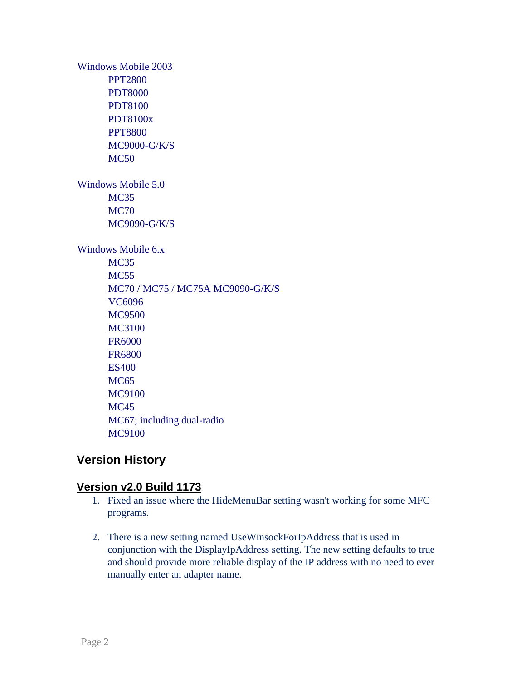Windows Mobile 2003 PPT2800 PDT8000 PDT8100 PDT8100x PPT8800 MC9000-G/K/S MC50 Windows Mobile 5.0 MC<sub>35</sub> MC70 MC9090-G/K/S Windows Mobile 6.x MC<sub>35</sub> MC<sub>55</sub> MC70 / MC75 / MC75A MC9090-G/K/S VC6096 MC9500 MC3100 FR6000 FR6800 ES400 MC<sub>65</sub> MC9100 MC45 MC67; including dual-radio MC9100

# **Version History**

- 1. Fixed an issue where the HideMenuBar setting wasn't working for some MFC programs.
- 2. There is a new setting named UseWinsockForIpAddress that is used in conjunction with the DisplayIpAddress setting. The new setting defaults to true and should provide more reliable display of the IP address with no need to ever manually enter an adapter name.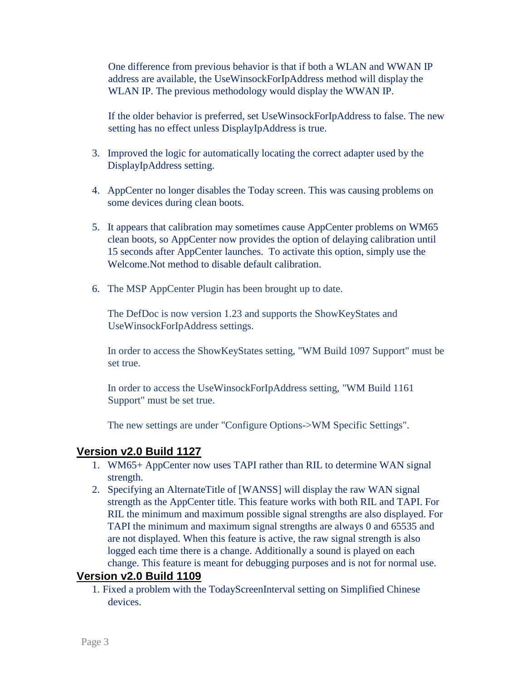One difference from previous behavior is that if both a WLAN and WWAN IP address are available, the UseWinsockForIpAddress method will display the WLAN IP. The previous methodology would display the WWAN IP.

If the older behavior is preferred, set UseWinsockForIpAddress to false. The new setting has no effect unless DisplayIpAddress is true.

- 3. Improved the logic for automatically locating the correct adapter used by the DisplayIpAddress setting.
- 4. AppCenter no longer disables the Today screen. This was causing problems on some devices during clean boots.
- 5. It appears that calibration may sometimes cause AppCenter problems on WM65 clean boots, so AppCenter now provides the option of delaying calibration until 15 seconds after AppCenter launches. To activate this option, simply use the Welcome.Not method to disable default calibration.
- 6. The MSP AppCenter Plugin has been brought up to date.

The DefDoc is now version 1.23 and supports the ShowKeyStates and UseWinsockForIpAddress settings.

In order to access the ShowKeyStates setting, "WM Build 1097 Support" must be set true.

In order to access the UseWinsockForIpAddress setting, "WM Build 1161 Support" must be set true.

The new settings are under "Configure Options->WM Specific Settings".

#### **Version v2.0 Build 1127**

- 1. WM65+ AppCenter now uses TAPI rather than RIL to determine WAN signal strength.
- 2. Specifying an AlternateTitle of [WANSS] will display the raw WAN signal strength as the AppCenter title. This feature works with both RIL and TAPI. For RIL the minimum and maximum possible signal strengths are also displayed. For TAPI the minimum and maximum signal strengths are always 0 and 65535 and are not displayed. When this feature is active, the raw signal strength is also logged each time there is a change. Additionally a sound is played on each change. This feature is meant for debugging purposes and is not for normal use.

#### **Version v2.0 Build 1109**

1. Fixed a problem with the TodayScreenInterval setting on Simplified Chinese devices.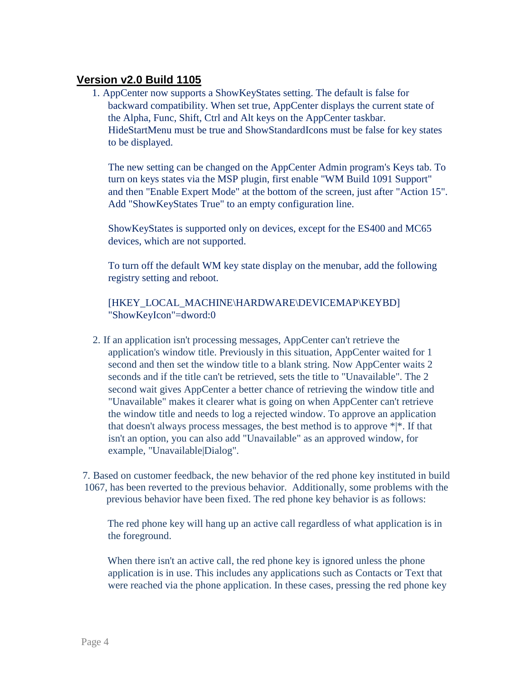## **Version v2.0 Build 1105**

1. AppCenter now supports a ShowKeyStates setting. The default is false for backward compatibility. When set true, AppCenter displays the current state of the Alpha, Func, Shift, Ctrl and Alt keys on the AppCenter taskbar. HideStartMenu must be true and ShowStandardIcons must be false for key states to be displayed.

The new setting can be changed on the AppCenter Admin program's Keys tab. To turn on keys states via the MSP plugin, first enable "WM Build 1091 Support" and then "Enable Expert Mode" at the bottom of the screen, just after "Action 15". Add "ShowKeyStates True" to an empty configuration line.

ShowKeyStates is supported only on devices, except for the ES400 and MC65 devices, which are not supported.

To turn off the default WM key state display on the menubar, add the following registry setting and reboot.

#### [HKEY\_LOCAL\_MACHINE\HARDWARE\DEVICEMAP\KEYBD] "ShowKeyIcon"=dword:0

2. If an application isn't processing messages, AppCenter can't retrieve the application's window title. Previously in this situation, AppCenter waited for 1 second and then set the window title to a blank string. Now AppCenter waits 2 seconds and if the title can't be retrieved, sets the title to "Unavailable". The 2 second wait gives AppCenter a better chance of retrieving the window title and "Unavailable" makes it clearer what is going on when AppCenter can't retrieve the window title and needs to log a rejected window. To approve an application that doesn't always process messages, the best method is to approve  $*|*.$  If that isn't an option, you can also add "Unavailable" as an approved window, for example, "Unavailable|Dialog".

7. Based on customer feedback, the new behavior of the red phone key instituted in build 1067, has been reverted to the previous behavior. Additionally, some problems with the previous behavior have been fixed. The red phone key behavior is as follows:

The red phone key will hang up an active call regardless of what application is in the foreground.

When there isn't an active call, the red phone key is ignored unless the phone application is in use. This includes any applications such as Contacts or Text that were reached via the phone application. In these cases, pressing the red phone key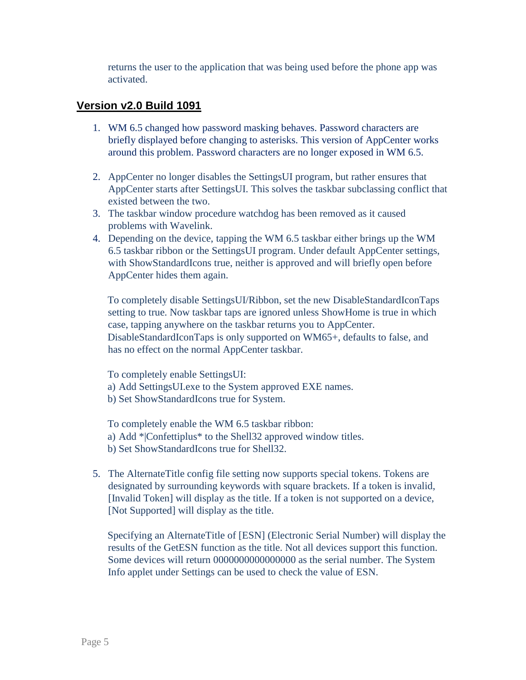returns the user to the application that was being used before the phone app was activated.

#### **Version v2.0 Build 1091**

- 1. WM 6.5 changed how password masking behaves. Password characters are briefly displayed before changing to asterisks. This version of AppCenter works around this problem. Password characters are no longer exposed in WM 6.5.
- 2. AppCenter no longer disables the SettingsUI program, but rather ensures that AppCenter starts after SettingsUI. This solves the taskbar subclassing conflict that existed between the two.
- 3. The taskbar window procedure watchdog has been removed as it caused problems with Wavelink.
- 4. Depending on the device, tapping the WM 6.5 taskbar either brings up the WM 6.5 taskbar ribbon or the SettingsUI program. Under default AppCenter settings, with ShowStandardIcons true, neither is approved and will briefly open before AppCenter hides them again.

To completely disable SettingsUI/Ribbon, set the new DisableStandardIconTaps setting to true. Now taskbar taps are ignored unless ShowHome is true in which case, tapping anywhere on the taskbar returns you to AppCenter. DisableStandardIconTaps is only supported on WM65+, defaults to false, and has no effect on the normal AppCenter taskbar.

To completely enable SettingsUI:

- a) Add SettingsUI.exe to the System approved EXE names.
- b) Set ShowStandardIcons true for System.

To completely enable the WM 6.5 taskbar ribbon:

- a) Add \*|Confettiplus\* to the Shell32 approved window titles.
- b) Set ShowStandardIcons true for Shell32.
- 5. The AlternateTitle config file setting now supports special tokens. Tokens are designated by surrounding keywords with square brackets. If a token is invalid, [Invalid Token] will display as the title. If a token is not supported on a device, [Not Supported] will display as the title.

Specifying an AlternateTitle of [ESN] (Electronic Serial Number) will display the results of the GetESN function as the title. Not all devices support this function. Some devices will return 0000000000000000 as the serial number. The System Info applet under Settings can be used to check the value of ESN.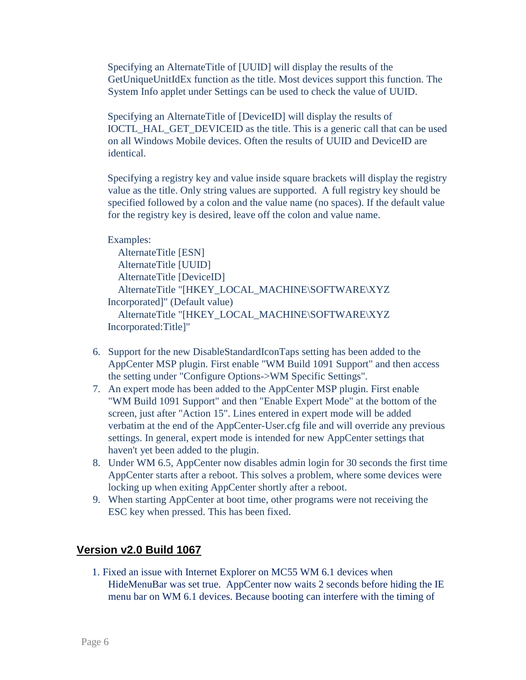Specifying an AlternateTitle of [UUID] will display the results of the GetUniqueUnitIdEx function as the title. Most devices support this function. The System Info applet under Settings can be used to check the value of UUID.

Specifying an AlternateTitle of [DeviceID] will display the results of IOCTL\_HAL\_GET\_DEVICEID as the title. This is a generic call that can be used on all Windows Mobile devices. Often the results of UUID and DeviceID are identical.

Specifying a registry key and value inside square brackets will display the registry value as the title. Only string values are supported. A full registry key should be specified followed by a colon and the value name (no spaces). If the default value for the registry key is desired, leave off the colon and value name.

```
Examples: 
   AlternateTitle [ESN] 
   AlternateTitle [UUID] 
   AlternateTitle [DeviceID] 
   AlternateTitle "[HKEY_LOCAL_MACHINE\SOFTWARE\XYZ 
Incorporated]" (Default value) 
   AlternateTitle "[HKEY_LOCAL_MACHINE\SOFTWARE\XYZ 
Incorporated:Title]"
```
- 6. Support for the new DisableStandardIconTaps setting has been added to the AppCenter MSP plugin. First enable "WM Build 1091 Support" and then access the setting under "Configure Options->WM Specific Settings".
- 7. An expert mode has been added to the AppCenter MSP plugin. First enable "WM Build 1091 Support" and then "Enable Expert Mode" at the bottom of the screen, just after "Action 15". Lines entered in expert mode will be added verbatim at the end of the AppCenter-User.cfg file and will override any previous settings. In general, expert mode is intended for new AppCenter settings that haven't yet been added to the plugin.
- 8. Under WM 6.5, AppCenter now disables admin login for 30 seconds the first time AppCenter starts after a reboot. This solves a problem, where some devices were locking up when exiting AppCenter shortly after a reboot.
- 9. When starting AppCenter at boot time, other programs were not receiving the ESC key when pressed. This has been fixed.

# **Version v2.0 Build 1067**

1. Fixed an issue with Internet Explorer on MC55 WM 6.1 devices when HideMenuBar was set true. AppCenter now waits 2 seconds before hiding the IE menu bar on WM 6.1 devices. Because booting can interfere with the timing of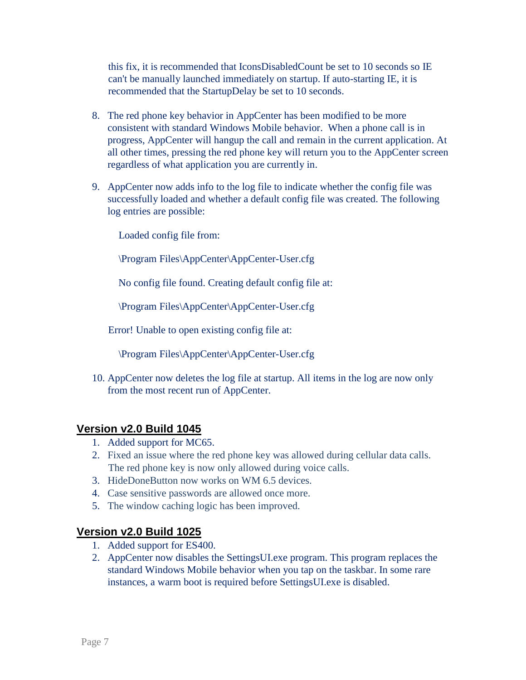this fix, it is recommended that IconsDisabledCount be set to 10 seconds so IE can't be manually launched immediately on startup. If auto-starting IE, it is recommended that the StartupDelay be set to 10 seconds.

- 8. The red phone key behavior in AppCenter has been modified to be more consistent with standard Windows Mobile behavior. When a phone call is in progress, AppCenter will hangup the call and remain in the current application. At all other times, pressing the red phone key will return you to the AppCenter screen regardless of what application you are currently in.
- 9. AppCenter now adds info to the log file to indicate whether the config file was successfully loaded and whether a default config file was created. The following log entries are possible:

Loaded config file from:

\Program Files\AppCenter\AppCenter-User.cfg

No config file found. Creating default config file at:

\Program Files\AppCenter\AppCenter-User.cfg

Error! Unable to open existing config file at:

\Program Files\AppCenter\AppCenter-User.cfg

10. AppCenter now deletes the log file at startup. All items in the log are now only from the most recent run of AppCenter.

## **Version v2.0 Build 1045**

- 1. Added support for MC65.
- 2. Fixed an issue where the red phone key was allowed during cellular data calls. The red phone key is now only allowed during voice calls.
- 3. HideDoneButton now works on WM 6.5 devices.
- 4. Case sensitive passwords are allowed once more.
- 5. The window caching logic has been improved.

- 1. Added support for ES400.
- 2. AppCenter now disables the SettingsUI.exe program. This program replaces the standard Windows Mobile behavior when you tap on the taskbar. In some rare instances, a warm boot is required before SettingsUI.exe is disabled.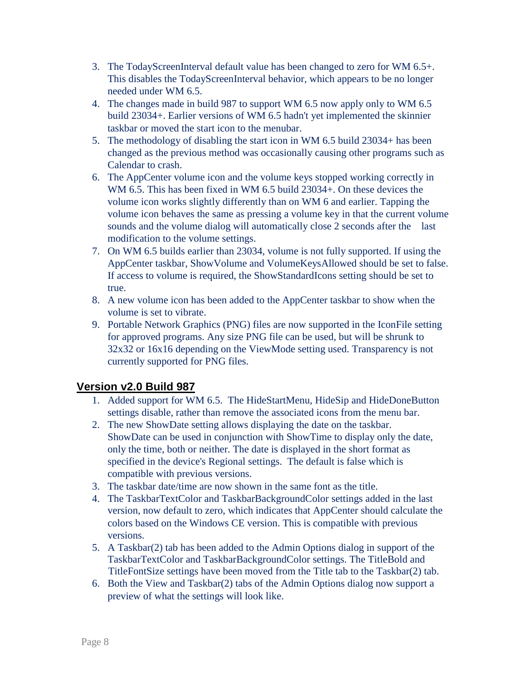- 3. The TodayScreenInterval default value has been changed to zero for WM 6.5+. This disables the TodayScreenInterval behavior, which appears to be no longer needed under WM 6.5.
- 4. The changes made in build 987 to support WM 6.5 now apply only to WM 6.5 build 23034+. Earlier versions of WM 6.5 hadn't yet implemented the skinnier taskbar or moved the start icon to the menubar.
- 5. The methodology of disabling the start icon in WM 6.5 build 23034+ has been changed as the previous method was occasionally causing other programs such as Calendar to crash.
- 6. The AppCenter volume icon and the volume keys stopped working correctly in WM 6.5. This has been fixed in WM 6.5 build 23034+. On these devices the volume icon works slightly differently than on WM 6 and earlier. Tapping the volume icon behaves the same as pressing a volume key in that the current volume sounds and the volume dialog will automatically close 2 seconds after the last modification to the volume settings.
- 7. On WM 6.5 builds earlier than 23034, volume is not fully supported. If using the AppCenter taskbar, ShowVolume and VolumeKeysAllowed should be set to false. If access to volume is required, the ShowStandardIcons setting should be set to true.
- 8. A new volume icon has been added to the AppCenter taskbar to show when the volume is set to vibrate.
- 9. Portable Network Graphics (PNG) files are now supported in the IconFile setting for approved programs. Any size PNG file can be used, but will be shrunk to 32x32 or 16x16 depending on the ViewMode setting used. Transparency is not currently supported for PNG files.

- 1. Added support for WM 6.5. The HideStartMenu, HideSip and HideDoneButton settings disable, rather than remove the associated icons from the menu bar.
- 2. The new ShowDate setting allows displaying the date on the taskbar. ShowDate can be used in conjunction with ShowTime to display only the date, only the time, both or neither. The date is displayed in the short format as specified in the device's Regional settings. The default is false which is compatible with previous versions.
- 3. The taskbar date/time are now shown in the same font as the title.
- 4. The TaskbarTextColor and TaskbarBackgroundColor settings added in the last version, now default to zero, which indicates that AppCenter should calculate the colors based on the Windows CE version. This is compatible with previous versions.
- 5. A Taskbar(2) tab has been added to the Admin Options dialog in support of the TaskbarTextColor and TaskbarBackgroundColor settings. The TitleBold and TitleFontSize settings have been moved from the Title tab to the Taskbar(2) tab.
- 6. Both the View and Taskbar(2) tabs of the Admin Options dialog now support a preview of what the settings will look like.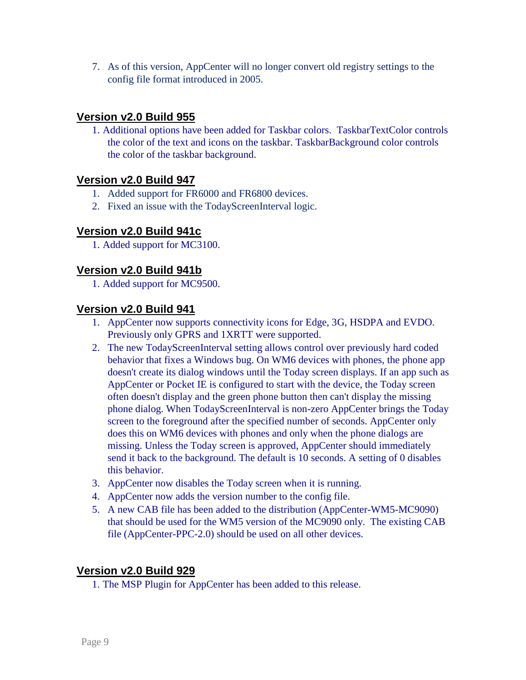7. As of this version, AppCenter will no longer convert old registry settings to the config file format introduced in 2005.

## **Version v2.0 Build 955**

1. Additional options have been added for Taskbar colors. TaskbarTextColor controls the color of the text and icons on the taskbar. TaskbarBackground color controls the color of the taskbar background.

#### **Version v2.0 Build 947**

- 1. Added support for FR6000 and FR6800 devices.
- 2. Fixed an issue with the TodayScreenInterval logic.

## **Version v2.0 Build 941c**

1. Added support for MC3100.

## **Version v2.0 Build 941b**

1. Added support for MC9500.

#### **Version v2.0 Build 941**

- 1. AppCenter now supports connectivity icons for Edge, 3G, HSDPA and EVDO. Previously only GPRS and 1XRTT were supported.
- 2. The new TodayScreenInterval setting allows control over previously hard coded behavior that fixes a Windows bug. On WM6 devices with phones, the phone app doesn't create its dialog windows until the Today screen displays. If an app such as AppCenter or Pocket IE is configured to start with the device, the Today screen often doesn't display and the green phone button then can't display the missing phone dialog. When TodayScreenInterval is non-zero AppCenter brings the Today screen to the foreground after the specified number of seconds. AppCenter only does this on WM6 devices with phones and only when the phone dialogs are missing. Unless the Today screen is approved, AppCenter should immediately send it back to the background. The default is 10 seconds. A setting of 0 disables this behavior.
- 3. AppCenter now disables the Today screen when it is running.
- 4. AppCenter now adds the version number to the config file.
- 5. A new CAB file has been added to the distribution (AppCenter-WM5-MC9090) that should be used for the WM5 version of the MC9090 only. The existing CAB file (AppCenter-PPC-2.0) should be used on all other devices.

#### **Version v2.0 Build 929**

1. The MSP Plugin for AppCenter has been added to this release.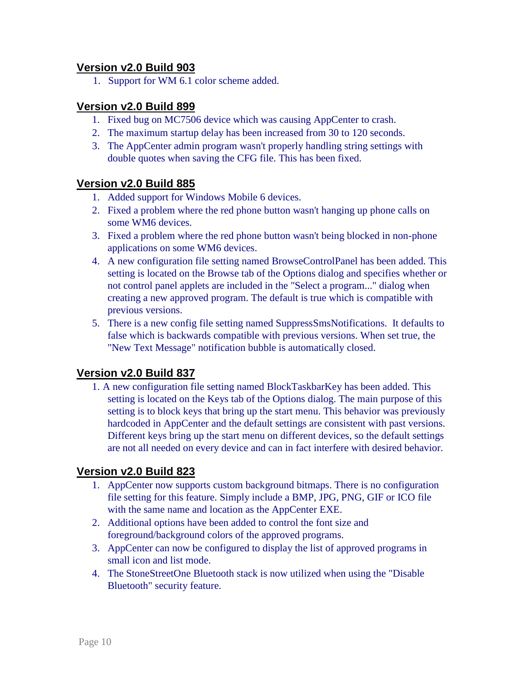## **Version v2.0 Build 903**

1. Support for WM 6.1 color scheme added.

#### **Version v2.0 Build 899**

- 1. Fixed bug on MC7506 device which was causing AppCenter to crash.
- 2. The maximum startup delay has been increased from 30 to 120 seconds.
- 3. The AppCenter admin program wasn't properly handling string settings with double quotes when saving the CFG file. This has been fixed.

#### **Version v2.0 Build 885**

- 1. Added support for Windows Mobile 6 devices.
- 2. Fixed a problem where the red phone button wasn't hanging up phone calls on some WM6 devices.
- 3. Fixed a problem where the red phone button wasn't being blocked in non-phone applications on some WM6 devices.
- 4. A new configuration file setting named BrowseControlPanel has been added. This setting is located on the Browse tab of the Options dialog and specifies whether or not control panel applets are included in the "Select a program..." dialog when creating a new approved program. The default is true which is compatible with previous versions.
- 5. There is a new config file setting named SuppressSmsNotifications. It defaults to false which is backwards compatible with previous versions. When set true, the "New Text Message" notification bubble is automatically closed.

#### **Version v2.0 Build 837**

1. A new configuration file setting named BlockTaskbarKey has been added. This setting is located on the Keys tab of the Options dialog. The main purpose of this setting is to block keys that bring up the start menu. This behavior was previously hardcoded in AppCenter and the default settings are consistent with past versions. Different keys bring up the start menu on different devices, so the default settings are not all needed on every device and can in fact interfere with desired behavior.

- 1. AppCenter now supports custom background bitmaps. There is no configuration file setting for this feature. Simply include a BMP, JPG, PNG, GIF or ICO file with the same name and location as the AppCenter EXE.
- 2. Additional options have been added to control the font size and foreground/background colors of the approved programs.
- 3. AppCenter can now be configured to display the list of approved programs in small icon and list mode.
- 4. The StoneStreetOne Bluetooth stack is now utilized when using the "Disable Bluetooth" security feature.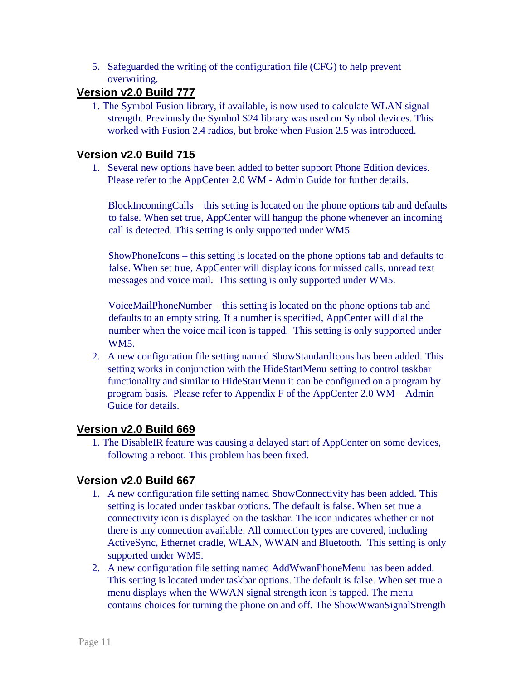5. Safeguarded the writing of the configuration file (CFG) to help prevent overwriting.

## **Version v2.0 Build 777**

1. The Symbol Fusion library, if available, is now used to calculate WLAN signal strength. Previously the Symbol S24 library was used on Symbol devices. This worked with Fusion 2.4 radios, but broke when Fusion 2.5 was introduced.

#### **Version v2.0 Build 715**

1. Several new options have been added to better support Phone Edition devices. Please refer to the AppCenter 2.0 WM - Admin Guide for further details.

BlockIncomingCalls – this setting is located on the phone options tab and defaults to false. When set true, AppCenter will hangup the phone whenever an incoming call is detected. This setting is only supported under WM5.

ShowPhoneIcons – this setting is located on the phone options tab and defaults to false. When set true, AppCenter will display icons for missed calls, unread text messages and voice mail. This setting is only supported under WM5.

VoiceMailPhoneNumber – this setting is located on the phone options tab and defaults to an empty string. If a number is specified, AppCenter will dial the number when the voice mail icon is tapped. This setting is only supported under WM5.

2. A new configuration file setting named ShowStandardIcons has been added. This setting works in conjunction with the HideStartMenu setting to control taskbar functionality and similar to HideStartMenu it can be configured on a program by program basis. Please refer to Appendix F of the AppCenter 2.0 WM – Admin Guide for details.

#### **Version v2.0 Build 669**

1. The DisableIR feature was causing a delayed start of AppCenter on some devices, following a reboot. This problem has been fixed.

- 1. A new configuration file setting named ShowConnectivity has been added. This setting is located under taskbar options. The default is false. When set true a connectivity icon is displayed on the taskbar. The icon indicates whether or not there is any connection available. All connection types are covered, including ActiveSync, Ethernet cradle, WLAN, WWAN and Bluetooth. This setting is only supported under WM5.
- 2. A new configuration file setting named AddWwanPhoneMenu has been added. This setting is located under taskbar options. The default is false. When set true a menu displays when the WWAN signal strength icon is tapped. The menu contains choices for turning the phone on and off. The ShowWwanSignalStrength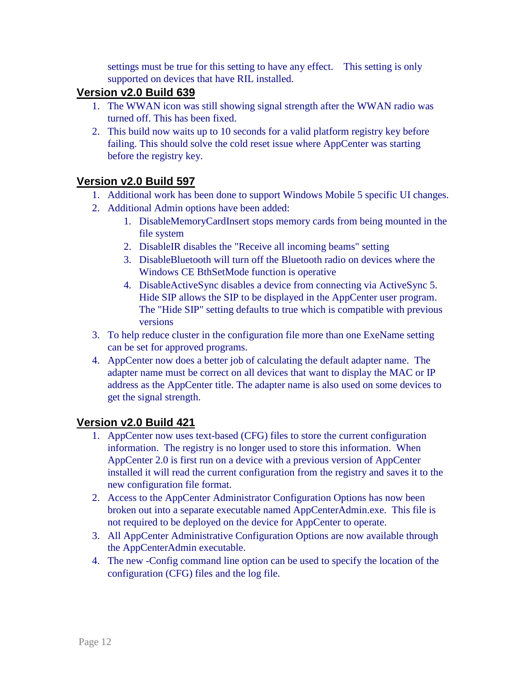settings must be true for this setting to have any effect. This setting is only supported on devices that have RIL installed.

## **Version v2.0 Build 639**

- 1. The WWAN icon was still showing signal strength after the WWAN radio was turned off. This has been fixed.
- 2. This build now waits up to 10 seconds for a valid platform registry key before failing. This should solve the cold reset issue where AppCenter was starting before the registry key.

## **Version v2.0 Build 597**

- 1. Additional work has been done to support Windows Mobile 5 specific UI changes.
- 2. Additional Admin options have been added:
	- 1. DisableMemoryCardInsert stops memory cards from being mounted in the file system
	- 2. DisableIR disables the "Receive all incoming beams" setting
	- 3. DisableBluetooth will turn off the Bluetooth radio on devices where the Windows CE BthSetMode function is operative
	- 4. DisableActiveSync disables a device from connecting via ActiveSync 5. Hide SIP allows the SIP to be displayed in the AppCenter user program. The "Hide SIP" setting defaults to true which is compatible with previous versions
- 3. To help reduce cluster in the configuration file more than one ExeName setting can be set for approved programs.
- 4. AppCenter now does a better job of calculating the default adapter name. The adapter name must be correct on all devices that want to display the MAC or IP address as the AppCenter title. The adapter name is also used on some devices to get the signal strength.

- 1. AppCenter now uses text-based (CFG) files to store the current configuration information. The registry is no longer used to store this information. When AppCenter 2.0 is first run on a device with a previous version of AppCenter installed it will read the current configuration from the registry and saves it to the new configuration file format.
- 2. Access to the AppCenter Administrator Configuration Options has now been broken out into a separate executable named AppCenterAdmin.exe. This file is not required to be deployed on the device for AppCenter to operate.
- 3. All AppCenter Administrative Configuration Options are now available through the AppCenterAdmin executable.
- 4. The new -Config command line option can be used to specify the location of the configuration (CFG) files and the log file.